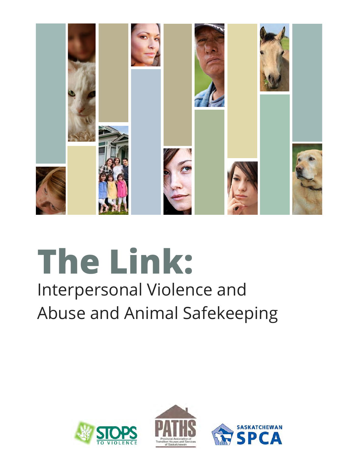

# **The Link:**

## Interpersonal Violence and Abuse and Animal Safekeeping





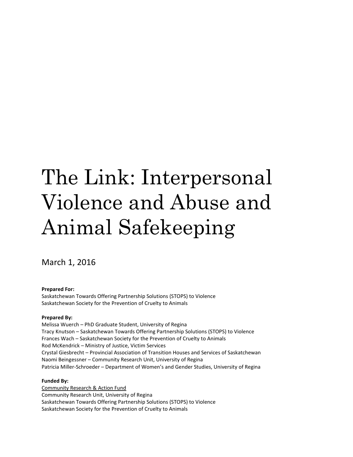# The Link: Interpersonal Violence and Abuse and Animal Safekeeping

March 1, 2016

**Prepared For:** 

Saskatchewan Towards Offering Partnership Solutions (STOPS) to Violence Saskatchewan Society for the Prevention of Cruelty to Animals

#### **Prepared By:**

Melissa Wuerch – PhD Graduate Student, University of Regina Tracy Knutson – Saskatchewan Towards Offering Partnership Solutions (STOPS) to Violence Frances Wach – Saskatchewan Society for the Prevention of Cruelty to Animals Rod McKendrick – Ministry of Justice, Victim Services Crystal Giesbrecht – Provincial Association of Transition Houses and Services of Saskatchewan Naomi Beingessner – Community Research Unit, University of Regina Patricia Miller-Schroeder – Department of Women's and Gender Studies, University of Regina

#### **Funded By:**

Community Research & Action Fund Community Research Unit, University of Regina Saskatchewan Towards Offering Partnership Solutions (STOPS) to Violence Saskatchewan Society for the Prevention of Cruelty to Animals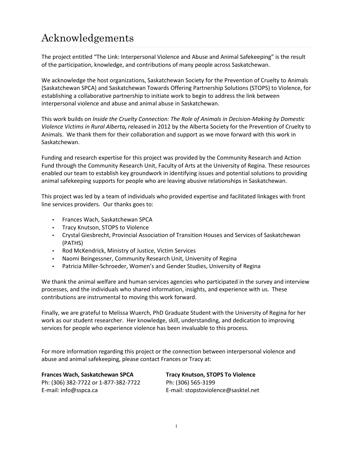### Acknowledgements

The project entitled "The Link: Interpersonal Violence and Abuse and Animal Safekeeping" is the result of the participation, knowledge, and contributions of many people across Saskatchewan.

We acknowledge the host organizations, Saskatchewan Society for the Prevention of Cruelty to Animals (Saskatchewan SPCA) and Saskatchewan Towards Offering Partnership Solutions (STOPS) to Violence, for establishing a collaborative partnership to initiate work to begin to address the link between interpersonal violence and abuse and animal abuse in Saskatchewan.

This work builds on *Inside the Cruelty Connection: The Role of Animals in Decision-Making by Domestic Violence Victims in Rural Alberta,* released in 2012 by the Alberta Society for the Prevention of Cruelty to Animals. We thank them for their collaboration and support as we move forward with this work in Saskatchewan.

Funding and research expertise for this project was provided by the Community Research and Action Fund through the Community Research Unit, Faculty of Arts at the University of Regina. These resources enabled our team to establish key groundwork in identifying issues and potential solutions to providing animal safekeeping supports for people who are leaving abusive relationships in Saskatchewan.

This project was led by a team of individuals who provided expertise and facilitated linkages with front line services providers. Our thanks goes to:

- Frances Wach, Saskatchewan SPCA
- Tracy Knutson, STOPS to Violence
- Crystal Giesbrecht, Provincial Association of Transition Houses and Services of Saskatchewan (PATHS)
- Rod McKendrick, Ministry of Justice, Victim Services
- Naomi Beingessner, Community Research Unit, University of Regina
- Patricia Miller-Schroeder, Women's and Gender Studies, University of Regina

We thank the animal welfare and human services agencies who participated in the survey and interview processes, and the individuals who shared information, insights, and experience with us. These contributions are instrumental to moving this work forward.

Finally, we are grateful to Melissa Wuerch, PhD Graduate Student with the University of Regina for her work as our student researcher. Her knowledge, skill, understanding, and dedication to improving services for people who experience violence has been invaluable to this process.

For more information regarding this project or the connection between interpersonal violence and abuse and animal safekeeping, please contact Frances or Tracy at:

**Frances Wach, Saskatchewan SPCA Tracy Knutson, STOPS To Violence**  Ph: (306) 382-7722 or 1-877-382-7722 Ph: (306) 565-3199 E-mail: info@sspca.ca E-mail: stopstoviolence@sasktel.net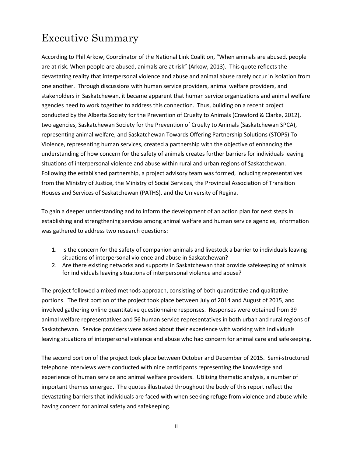### Executive Summary

According to Phil Arkow, Coordinator of the National Link Coalition, "When animals are abused, people are at risk. When people are abused, animals are at risk" (Arkow, 2013). This quote reflects the devastating reality that interpersonal violence and abuse and animal abuse rarely occur in isolation from one another. Through discussions with human service providers, animal welfare providers, and stakeholders in Saskatchewan, it became apparent that human service organizations and animal welfare agencies need to work together to address this connection. Thus, building on a recent project conducted by the Alberta Society for the Prevention of Cruelty to Animals (Crawford & Clarke, 2012), two agencies, Saskatchewan Society for the Prevention of Cruelty to Animals (Saskatchewan SPCA), representing animal welfare, and Saskatchewan Towards Offering Partnership Solutions (STOPS) To Violence, representing human services, created a partnership with the objective of enhancing the understanding of how concern for the safety of animals creates further barriers for individuals leaving situations of interpersonal violence and abuse within rural and urban regions of Saskatchewan. Following the established partnership, a project advisory team was formed, including representatives from the Ministry of Justice, the Ministry of Social Services, the Provincial Association of Transition Houses and Services of Saskatchewan (PATHS), and the University of Regina.

To gain a deeper understanding and to inform the development of an action plan for next steps in establishing and strengthening services among animal welfare and human service agencies, information was gathered to address two research questions:

- 1. Is the concern for the safety of companion animals and livestock a barrier to individuals leaving situations of interpersonal violence and abuse in Saskatchewan?
- 2. Are there existing networks and supports in Saskatchewan that provide safekeeping of animals for individuals leaving situations of interpersonal violence and abuse?

The project followed a mixed methods approach, consisting of both quantitative and qualitative portions. The first portion of the project took place between July of 2014 and August of 2015, and involved gathering online quantitative questionnaire responses. Responses were obtained from 39 animal welfare representatives and 56 human service representatives in both urban and rural regions of Saskatchewan. Service providers were asked about their experience with working with individuals leaving situations of interpersonal violence and abuse who had concern for animal care and safekeeping.

The second portion of the project took place between October and December of 2015. Semi-structured telephone interviews were conducted with nine participants representing the knowledge and experience of human service and animal welfare providers. Utilizing thematic analysis, a number of important themes emerged. The quotes illustrated throughout the body of this report reflect the devastating barriers that individuals are faced with when seeking refuge from violence and abuse while having concern for animal safety and safekeeping.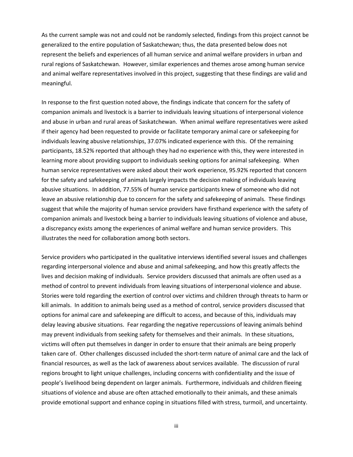As the current sample was not and could not be randomly selected, findings from this project cannot be generalized to the entire population of Saskatchewan; thus, the data presented below does not represent the beliefs and experiences of all human service and animal welfare providers in urban and rural regions of Saskatchewan. However, similar experiences and themes arose among human service and animal welfare representatives involved in this project, suggesting that these findings are valid and meaningful.

In response to the first question noted above, the findings indicate that concern for the safety of companion animals and livestock is a barrier to individuals leaving situations of interpersonal violence and abuse in urban and rural areas of Saskatchewan. When animal welfare representatives were asked if their agency had been requested to provide or facilitate temporary animal care or safekeeping for individuals leaving abusive relationships, 37.07% indicated experience with this. Of the remaining participants, 18.52% reported that although they had no experience with this, they were interested in learning more about providing support to individuals seeking options for animal safekeeping. When human service representatives were asked about their work experience, 95.92% reported that concern for the safety and safekeeping of animals largely impacts the decision making of individuals leaving abusive situations. In addition, 77.55% of human service participants knew of someone who did not leave an abusive relationship due to concern for the safety and safekeeping of animals. These findings suggest that while the majority of human service providers have firsthand experience with the safety of companion animals and livestock being a barrier to individuals leaving situations of violence and abuse, a discrepancy exists among the experiences of animal welfare and human service providers. This illustrates the need for collaboration among both sectors.

Service providers who participated in the qualitative interviews identified several issues and challenges regarding interpersonal violence and abuse and animal safekeeping, and how this greatly affects the lives and decision making of individuals. Service providers discussed that animals are often used as a method of control to prevent individuals from leaving situations of interpersonal violence and abuse. Stories were told regarding the exertion of control over victims and children through threats to harm or kill animals. In addition to animals being used as a method of control, service providers discussed that options for animal care and safekeeping are difficult to access, and because of this, individuals may delay leaving abusive situations. Fear regarding the negative repercussions of leaving animals behind may prevent individuals from seeking safety for themselves and their animals. In these situations, victims will often put themselves in danger in order to ensure that their animals are being properly taken care of. Other challenges discussed included the short-term nature of animal care and the lack of financial resources, as well as the lack of awareness about services available. The discussion of rural regions brought to light unique challenges, including concerns with confidentiality and the issue of people's livelihood being dependent on larger animals. Furthermore, individuals and children fleeing situations of violence and abuse are often attached emotionally to their animals, and these animals provide emotional support and enhance coping in situations filled with stress, turmoil, and uncertainty.

iii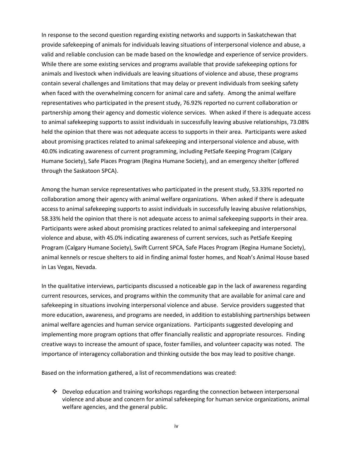In response to the second question regarding existing networks and supports in Saskatchewan that provide safekeeping of animals for individuals leaving situations of interpersonal violence and abuse, a valid and reliable conclusion can be made based on the knowledge and experience of service providers. While there are some existing services and programs available that provide safekeeping options for animals and livestock when individuals are leaving situations of violence and abuse, these programs contain several challenges and limitations that may delay or prevent individuals from seeking safety when faced with the overwhelming concern for animal care and safety. Among the animal welfare representatives who participated in the present study, 76.92% reported no current collaboration or partnership among their agency and domestic violence services. When asked if there is adequate access to animal safekeeping supports to assist individuals in successfully leaving abusive relationships, 73.08% held the opinion that there was not adequate access to supports in their area. Participants were asked about promising practices related to animal safekeeping and interpersonal violence and abuse, with 40.0% indicating awareness of current programming, including PetSafe Keeping Program (Calgary Humane Society), Safe Places Program (Regina Humane Society), and an emergency shelter (offered through the Saskatoon SPCA).

Among the human service representatives who participated in the present study, 53.33% reported no collaboration among their agency with animal welfare organizations. When asked if there is adequate access to animal safekeeping supports to assist individuals in successfully leaving abusive relationships, 58.33% held the opinion that there is not adequate access to animal safekeeping supports in their area. Participants were asked about promising practices related to animal safekeeping and interpersonal violence and abuse, with 45.0% indicating awareness of current services, such as PetSafe Keeping Program (Calgary Humane Society), Swift Current SPCA, Safe Places Program (Regina Humane Society), animal kennels or rescue shelters to aid in finding animal foster homes, and Noah's Animal House based in Las Vegas, Nevada.

In the qualitative interviews, participants discussed a noticeable gap in the lack of awareness regarding current resources, services, and programs within the community that are available for animal care and safekeeping in situations involving interpersonal violence and abuse. Service providers suggested that more education, awareness, and programs are needed, in addition to establishing partnerships between animal welfare agencies and human service organizations. Participants suggested developing and implementing more program options that offer financially realistic and appropriate resources. Finding creative ways to increase the amount of space, foster families, and volunteer capacity was noted. The importance of interagency collaboration and thinking outside the box may lead to positive change.

Based on the information gathered, a list of recommendations was created:

 $\div$  Develop education and training workshops regarding the connection between interpersonal violence and abuse and concern for animal safekeeping for human service organizations, animal welfare agencies, and the general public.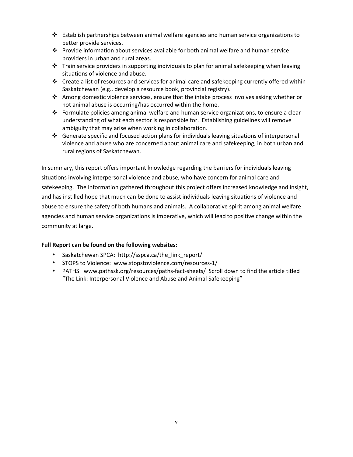- $\div$  Establish partnerships between animal welfare agencies and human service organizations to better provide services.
- Provide information about services available for both animal welfare and human service providers in urban and rural areas.
- $\cdot \cdot$  Train service providers in supporting individuals to plan for animal safekeeping when leaving situations of violence and abuse.
- Create a list of resources and services for animal care and safekeeping currently offered within Saskatchewan (e.g., develop a resource book, provincial registry).
- Among domestic violence services, ensure that the intake process involves asking whether or not animal abuse is occurring/has occurred within the home.
- Formulate policies among animal welfare and human service organizations, to ensure a clear understanding of what each sector is responsible for. Establishing guidelines will remove ambiguity that may arise when working in collaboration.
- $\div$  Generate specific and focused action plans for individuals leaving situations of interpersonal violence and abuse who are concerned about animal care and safekeeping, in both urban and rural regions of Saskatchewan.

In summary, this report offers important knowledge regarding the barriers for individuals leaving situations involving interpersonal violence and abuse, who have concern for animal care and safekeeping. The information gathered throughout this project offers increased knowledge and insight, and has instilled hope that much can be done to assist individuals leaving situations of violence and abuse to ensure the safety of both humans and animals. A collaborative spirit among animal welfare agencies and human service organizations is imperative, which will lead to positive change within the community at large.

#### **Full Report can be found on the following websites:**

- Saskatchewan SPCA: http://sspca.ca/the\_link\_report/
- STOPS to Violence: www.stopstoviolence.com/resources-1/
- PATHS: www.pathssk.org/resources/paths-fact-sheets/ Scroll down to find the article titled "The Link: Interpersonal Violence and Abuse and Animal Safekeeping"